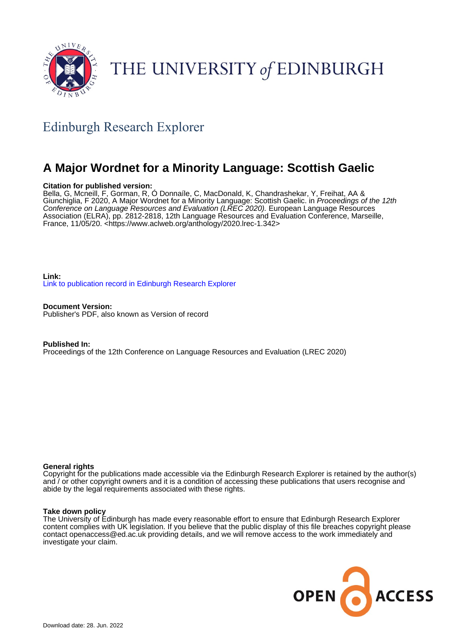

# THE UNIVERSITY of EDINBURGH

# Edinburgh Research Explorer

# **A Major Wordnet for a Minority Language: Scottish Gaelic**

#### **Citation for published version:**

Bella, G, Mcneill, F, Gorman, R, Ó Donnaíle, C, MacDonald, K, Chandrashekar, Y, Freihat, AA & Giunchiglia, F 2020, A Major Wordnet for a Minority Language: Scottish Gaelic. in Proceedings of the 12th Conference on Language Resources and Evaluation (LREC 2020). European Language Resources Association (ELRA), pp. 2812-2818, 12th Language Resources and Evaluation Conference, Marseille, France, 11/05/20. <<https://www.aclweb.org/anthology/2020.lrec-1.342>>

**Link:** [Link to publication record in Edinburgh Research Explorer](https://www.research.ed.ac.uk/en/publications/a07a91d1-2754-41ee-94a1-9cdc61fadc4b)

**Document Version:** Publisher's PDF, also known as Version of record

**Published In:** Proceedings of the 12th Conference on Language Resources and Evaluation (LREC 2020)

#### **General rights**

Copyright for the publications made accessible via the Edinburgh Research Explorer is retained by the author(s) and / or other copyright owners and it is a condition of accessing these publications that users recognise and abide by the legal requirements associated with these rights.

#### **Take down policy**

The University of Edinburgh has made every reasonable effort to ensure that Edinburgh Research Explorer content complies with UK legislation. If you believe that the public display of this file breaches copyright please contact openaccess@ed.ac.uk providing details, and we will remove access to the work immediately and investigate your claim.

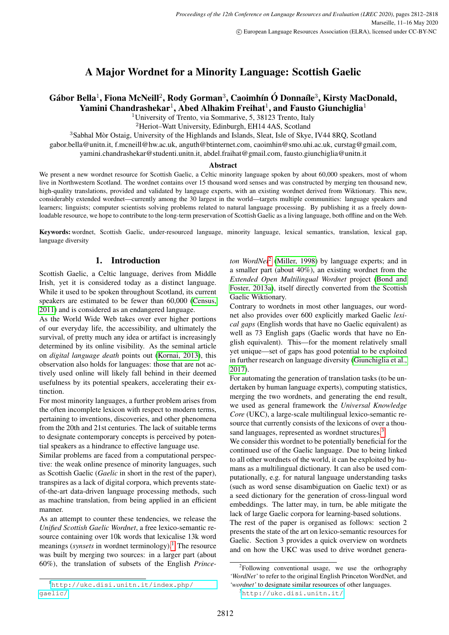# A Major Wordnet for a Minority Language: Scottish Gaelic

# Gábor Bella<sup>1</sup>, Fiona McNeill<sup>2</sup>, Rody Gorman<sup>3</sup>, Caoimhín Ó Donnaíle<sup>3</sup>, Kirsty MacDonald, Yamini Chandrashekar<sup>1</sup>, Abed Alhakim Freihat<sup>1</sup>, and Fausto Giunchiglia<sup>1</sup>

<sup>1</sup>University of Trento, via Sommarive, 5, 38123 Trento, Italy

<sup>2</sup>Heriot–Watt University, Edinburgh, EH14 4AS, Scotland

<sup>3</sup>Sabhal Mòr Ostaig, University of the Highlands and Islands, Sleat, Isle of Skye, IV44 8RQ, Scotland

gabor.bella@unitn.it, f.mcneill@hw.ac.uk, anguth@btinternet.com, caoimhin@smo.uhi.ac.uk, curstag@gmail.com,

yamini.chandrashekar@studenti.unitn.it, abdel.fraihat@gmail.com, fausto.giunchiglia@unitn.it

#### Abstract

We present a new wordnet resource for Scottish Gaelic, a Celtic minority language spoken by about 60,000 speakers, most of whom live in Northwestern Scotland. The wordnet contains over 15 thousand word senses and was constructed by merging ten thousand new, high-quality translations, provided and validated by language experts, with an existing wordnet derived from Wiktionary. This new, considerably extended wordnet—currently among the 30 largest in the world—targets multiple communities: language speakers and learners; linguists; computer scientists solving problems related to natural language processing. By publishing it as a freely downloadable resource, we hope to contribute to the long-term preservation of Scottish Gaelic as a living language, both offline and on the Web.

Keywords: wordnet, Scottish Gaelic, under-resourced language, minority language, lexical semantics, translation, lexical gap, language diversity

### 1. Introduction

Scottish Gaelic, a Celtic language, derives from Middle Irish, yet it is considered today as a distinct language. While it used to be spoken throughout Scotland, its current speakers are estimated to be fewer than 60,000 [\(Census,](#page-6-0) [2011\)](#page-6-0) and is considered as an endangered language.

As the World Wide Web takes over ever higher portions of our everyday life, the accessibility, and ultimately the survival, of pretty much any idea or artifact is increasingly determined by its online visibility. As the seminal article on *digital language death* points out [\(Kornai, 2013\)](#page-7-0), this observation also holds for languages: those that are not actively used online will likely fall behind in their deemed usefulness by its potential speakers, accelerating their extinction.

For most minority languages, a further problem arises from the often incomplete lexicon with respect to modern terms, pertaining to inventions, discoveries, and other phenomena from the 20th and 21st centuries. The lack of suitable terms to designate contemporary concepts is perceived by potential speakers as a hindrance to effective language use.

Similar problems are faced from a computational perspective: the weak online presence of minority languages, such as Scottish Gaelic (*Gaelic* in short in the rest of the paper), transpires as a lack of digital corpora, which prevents stateof-the-art data-driven language processing methods, such as machine translation, from being applied in an efficient manner.

As an attempt to counter these tendencies, we release the *Unified Scottish Gaelic Wordnet*, a free lexico-semantic resource containing over 10k words that lexicalise 13k word meanings (*synsets* in wordnet terminology).<sup>[1](#page-1-0)</sup> The resource was built by merging two sources: in a larger part (about 60%), the translation of subsets of the English *Prince-*

ton WordNet<sup>[2](#page-1-1)</sup> [\(Miller, 1998\)](#page-7-1) by language experts; and in a smaller part (about 40%), an existing wordnet from the *Extended Open Multilingual Wordnet* project [\(Bond and](#page-6-1) [Foster, 2013a\)](#page-6-1), itself directly converted from the Scottish Gaelic Wiktionary.

Contrary to wordnets in most other languages, our wordnet also provides over 600 explicitly marked Gaelic *lexical gaps* (English words that have no Gaelic equivalent) as well as 73 English gaps (Gaelic words that have no English equivalent). This—for the moment relatively small yet unique—set of gaps has good potential to be exploited in further research on language diversity [\(Giunchiglia et al.,](#page-7-2) [2017\)](#page-7-2).

For automating the generation of translation tasks (to be undertaken by human language experts), computing statistics, merging the two wordnets, and generating the end result, we used as general framework the *Universal Knowledge Core* (UKC), a large-scale multilingual lexico-semantic resource that currently consists of the lexicons of over a thou-sand languages, represented as wordnet structures.<sup>[3](#page-1-2)</sup>

We consider this wordnet to be potentially beneficial for the continued use of the Gaelic language. Due to being linked to all other wordnets of the world, it can be exploited by humans as a multilingual dictionary. It can also be used computationally, e.g. for natural language understanding tasks (such as word sense disambiguation on Gaelic text) or as a seed dictionary for the generation of cross-lingual word embeddings. The latter may, in turn, be able mitigate the lack of large Gaelic corpora for learning-based solutions.

The rest of the paper is organised as follows: section 2 presents the state of the art on lexico-semantic resources for Gaelic. Section 3 provides a quick overview on wordnets and on how the UKC was used to drive wordnet genera-

<span id="page-1-0"></span><sup>1</sup>[http://ukc.disi.unitn.it/index.php/](http://ukc.disi.unitn.it/index.php/gaelic/) [gaelic/](http://ukc.disi.unitn.it/index.php/gaelic/)

<span id="page-1-1"></span><sup>&</sup>lt;sup>2</sup>Following conventional usage, we use the orthography *'WordNet'* to refer to the original English Princeton WordNet, and *'wordnet'* to designate similar resources of other languages.

<span id="page-1-2"></span><sup>3</sup><http://ukc.disi.unitn.it/>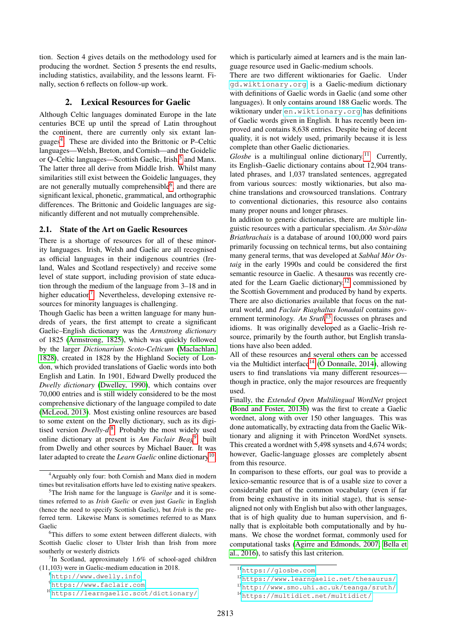tion. Section 4 gives details on the methodology used for producing the wordnet. Section 5 presents the end results, including statistics, availability, and the lessons learnt. Finally, section 6 reflects on follow-up work.

#### 2. Lexical Resources for Gaelic

Although Celtic languages dominated Europe in the late centuries BCE up until the spread of Latin throughout the continent, there are currently only six extant languages[4](#page-2-0) . These are divided into the Brittonic or P–Celtic languages—Welsh, Breton, and Cornish—and the Goidelic or Q-Celtic languages—Scottish Gaelic, Irish,<sup>[5](#page-2-1)</sup> and Manx. The latter three all derive from Middle Irish. Whilst many similarities still exist between the Goidelic languages, they are not generally mutually comprehensible<sup>[6](#page-2-2)</sup>, and there are significant lexical, phonetic, grammatical, and orthographic differences. The Brittonic and Goidelic languages are significantly different and not mutually comprehensible.

#### 2.1. State of the Art on Gaelic Resources

There is a shortage of resources for all of these minority languages. Irish, Welsh and Gaelic are all recognised as official languages in their indigenous countries (Ireland, Wales and Scotland respectively) and receive some level of state support, including provision of state education through the medium of the language from 3–18 and in higher education<sup>[7](#page-2-3)</sup>. Nevertheless, developing extensive resources for minority languages is challenging.

Though Gaelic has been a written language for many hundreds of years, the first attempt to create a significant Gaelic–English dictionary was the *Armstrong dictionary* of 1825 [\(Armstrong, 1825\)](#page-6-2), which was quickly followed by the larger *Dictionarium Scoto-Celticum* [\(Maclachlan,](#page-7-3) [1828\)](#page-7-3), created in 1828 by the Highland Society of London, which provided translations of Gaelic words into both English and Latin. In 1901, Edward Dwelly produced the *Dwelly dictionary* [\(Dwelley, 1990\)](#page-6-3), which contains over 70,000 entries and is still widely considered to be the most comprehensive dictionary of the language compiled to date [\(McLeod, 2013\)](#page-7-4). Most existing online resources are based to some extent on the Dwelly dictionary, such as its digitised version *Dwelly-d*. [8](#page-2-4) Probably the most widely used online dictionary at present is *Am Faclair Beag*[9](#page-2-5) , built from Dwelly and other sources by Michael Bauer. It was later adapted to create the *Learn Gaelic* online dictionary<sup>[10](#page-2-6)</sup>,

which is particularly aimed at learners and is the main language resource used in Gaelic-medium schools.

There are two different wiktionaries for Gaelic. Under <gd.wiktionary.org> is a Gaelic-medium dictionary with definitions of Gaelic words in Gaelic (and some other languages). It only contains around 188 Gaelic words. The wiktionary under <en.wiktionary.org> has definitions of Gaelic words given in English. It has recently been improved and contains 8,638 entries. Despite being of decent quality, it is not widely used, primarily because it is less complete than other Gaelic dictionaries.

*Glosbe* is a multilingual online dictionary.<sup>[11](#page-2-7)</sup> Currently, its English–Gaelic dictionary contains about 12,904 translated phrases, and 1,037 translated sentences, aggregated from various sources: mostly wiktionaries, but also machine translations and crowsourced translations. Contrary to conventional dictionaries, this resource also contains many proper nouns and longer phrases.

In addition to generic dictionaries, there are multiple linguistic resources with a particular specialism. An Stòr-dàta *Briathrachais* is a database of around 100,000 word pairs primarily focussing on technical terms, but also containing many general terms, that was developed at *Sabhal Mor Os- ` taig* in the early 1990s and could be considered the first semantic resource in Gaelic. A thesaurus was recently created for the Learn Gaelic dictionary, $12$  commissioned by the Scottish Government and produced by hand by experts. There are also dictionaries available that focus on the natural world, and *Faclair Riaghaltas Ionadail* contains government terminology. *An Sruth*[13](#page-2-9) focusses on phrases and idioms. It was originally developed as a Gaelic–Irish resource, primarily by the fourth author, but English translations have also been added.

All of these resources and several others can be accessed via the Multidict interface<sup>[14](#page-2-10)</sup> ( $\acute{\text{O}}$  Donnaíle, 2014), allowing users to find translations via many different resources though in practice, only the major resources are frequently used.

Finally, the *Extended Open Multilingual WordNet* project [\(Bond and Foster, 2013b\)](#page-6-4) was the first to create a Gaelic wordnet, along with over 150 other languages. This was done automatically, by extracting data from the Gaelic Wiktionary and aligning it with Princeton WordNet synsets. This created a wordnet with 5,498 synsets and 4,674 words; however, Gaelic-language glosses are completely absent from this resource.

In comparison to these efforts, our goal was to provide a lexico-semantic resource that is of a usable size to cover a considerable part of the common vocabulary (even if far from being exhaustive in its initial stage), that is sensealigned not only with English but also with other languages, that is of high quality due to human supervision, and finally that is exploitable both computationally and by humans. We chose the wordnet format, commonly used for computational tasks [\(Agirre and Edmonds, 2007;](#page-6-5) [Bella et](#page-6-6) [al., 2016\)](#page-6-6), to satisfy this last criterion.

<span id="page-2-0"></span><sup>4</sup>Arguably only four: both Cornish and Manx died in modern times but revitalisation efforts have led to existing native speakers.

<span id="page-2-1"></span><sup>5</sup>The Irish name for the language is *Gaeilge* and it is sometimes referred to as *Irish Gaelic* or even just *Gaelic* in English (hence the need to specify Scottish Gaelic), but *Irish* is the preferred term. Likewise Manx is sometimes referred to as Manx Gaelic

<span id="page-2-2"></span> $6$ This differs to some extent between different dialects, with Scottish Gaelic closer to Ulster Irish than Irish from more southerly or westerly districts

<span id="page-2-3"></span> $7$ In Scotland, approximately 1.6% of school-aged children (11,103) were in Gaelic-medium education in 2018.

<span id="page-2-4"></span><sup>8</sup><http://www.dwelly.info>

<span id="page-2-5"></span><sup>9</sup><https://www.faclair.com>

<span id="page-2-6"></span><sup>10</sup><https://learngaelic.scot/dictionary/>

<span id="page-2-7"></span><sup>11</sup><https://glosbe.com>

<span id="page-2-8"></span><sup>12</sup><https://www.learngaelic.net/thesaurus/>

<span id="page-2-9"></span><sup>13</sup><http://www.smo.uhi.ac.uk/teanga/sruth/>

<span id="page-2-10"></span><sup>14</sup><https://multidict.net/multidict/>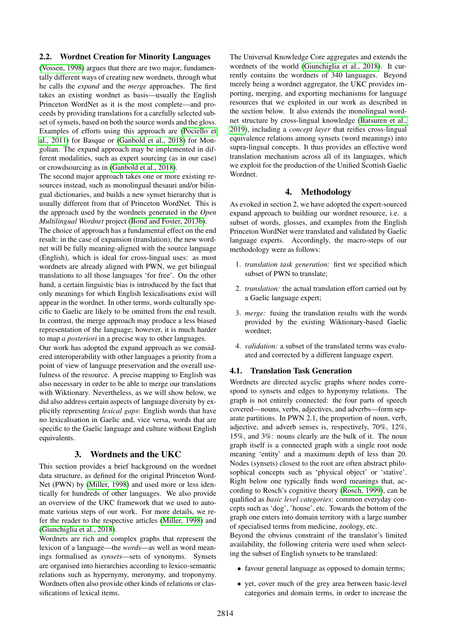#### 2.2. Wordnet Creation for Minority Languages

[\(Vossen, 1998\)](#page-7-6) argues that there are two major, fundamentally different ways of creating new wordnets, through what he calls the *expand* and the *merge* approaches. The first takes an existing wordnet as basis—usually the English Princeton WordNet as it is the most complete—and proceeds by providing translations for a carefully selected subset of synsets, based on both the source words and the gloss. Examples of efforts using this approach are [\(Pociello et](#page-7-7) [al., 2011\)](#page-7-7) for Basque or [\(Ganbold et al., 2018\)](#page-6-7) for Mongolian. The expand approach may be implemented in different modalities, such as expert sourcing (as in our case) or crowdsourcing as in [\(Ganbold et al., 2018\)](#page-6-7).

The second major approach takes one or more existing resources instead, such as monolingual thesauri and/or bilingual dictionaries, and builds a new synset hierarchy that is usually different from that of Princeton WordNet. This is the approach used by the wordnets generated in the *Open Multilingual Wordnet* project [\(Bond and Foster, 2013b\)](#page-6-4).

The choice of approach has a fundamental effect on the end result: in the case of expansion (translation), the new wordnet will be fully meaning-aligned with the source language (English), which is ideal for cross-lingual uses: as most wordnets are already aligned with PWN, we get bilingual translations to all those languages 'for free'. On the other hand, a certain linguistic bias is introduced by the fact that only meanings for which English lexicalisations exist will appear in the wordnet. In other terms, words culturally specific to Gaelic are likely to be omitted from the end result. In contrast, the merge approach may produce a less biased representation of the language; however, it is much harder to map *a posteriori* in a precise way to other languages.

Our work has adopted the expand approach as we considered interoperability with other languages a priority from a point of view of language preservation and the overall usefulness of the resource. A precise mapping to English was also necessary in order to be able to merge our translations with Wiktionary. Nevertheless, as we will show below, we did also address certain aspects of language diversity by explicitly representing *lexical gaps*: English words that have no lexicalisation in Gaelic and, vice versa, words that are specific to the Gaelic language and culture without English equivalents.

#### 3. Wordnets and the UKC

This section provides a brief background on the wordnet data structure, as defined for the original Princeton Word-Net (PWN) by [\(Miller, 1998\)](#page-7-1) and used more or less identically for hundreds of other languages. We also provide an overview of the UKC framework that we used to automate various steps of our work. For more details, we refer the reader to the respective articles [\(Miller, 1998\)](#page-7-1) and [\(Giunchiglia et al., 2018\)](#page-7-8).

Wordnets are rich and complex graphs that represent the lexicon of a language—the *words*—as well as word meanings formalised as *synsets*—sets of synonyms. Synsets are organised into hierarchies according to lexico-semantic relations such as hypernymy, meronymy, and troponymy. Wordnets often also provide other kinds of relations or classifications of lexical items.

The Universal Knowledge Core aggregates and extends the wordnets of the world [\(Giunchiglia et al., 2018\)](#page-7-8). It currently contains the wordnets of 340 languages. Beyond merely being a wordnet aggregator, the UKC provides importing, merging, and exporting mechanisms for language resources that we exploited in our work as described in the section below. It also extends the monolingual wordnet structure by cross-lingual knowledge [\(Batsuren et al.,](#page-6-8) [2019\)](#page-6-8), including a *concept layer* that reifies cross-lingual equivalence relations among synsets (word meanings) into supra-lingual concepts. It thus provides an effective word translation mechanism across all of its languages, which we exploit for the production of the Unified Scottish Gaelic Wordnet.

#### 4. Methodology

As evoked in section 2, we have adopted the expert-sourced expand approach to building our wordnet resource, i.e. a subset of words, glosses, and examples from the English Princeton WordNet were translated and validated by Gaelic language experts. Accordingly, the macro-steps of our methodology were as follows:

- 1. *translation task generation:* first we specified which subset of PWN to translate;
- 2. *translation:* the actual translation effort carried out by a Gaelic language expert;
- 3. *merge:* fusing the translation results with the words provided by the existing Wiktionary-based Gaelic wordnet;
- 4. *validation:* a subset of the translated terms was evaluated and corrected by a different language expert.

#### 4.1. Translation Task Generation

Wordnets are directed acyclic graphs where nodes correspond to synsets and edges to hyponymy relations. The graph is not entirely connected: the four parts of speech covered—nouns, verbs, adjectives, and adverbs—form separate partitions. In PWN 2.1, the proportion of noun, verb, adjective, and adverb senses is, respectively, 70%, 12%, 15%, and 3%: nouns clearly are the bulk of it. The noun graph itself is a connected graph with a single root node meaning 'entity' and a maximum depth of less than 20. Nodes (synsets) closest to the root are often abstract philosophical concepts such as 'physical object' or 'stative'. Right below one typically finds word meanings that, according to Rosch's cognitive theory [\(Rosch, 1999\)](#page-7-9), can be qualified as *basic level categories*: common everyday concepts such as 'dog', 'house', etc. Towards the bottom of the graph one enters into domain territory with a large number of specialised terms from medicine, zoology, etc.

Beyond the obvious constraint of the translator's limited availability, the following criteria were used when selecting the subset of English synsets to be translated:

- favour general language as opposed to domain terms;
- yet, cover much of the grey area between basic-level categories and domain terms, in order to increase the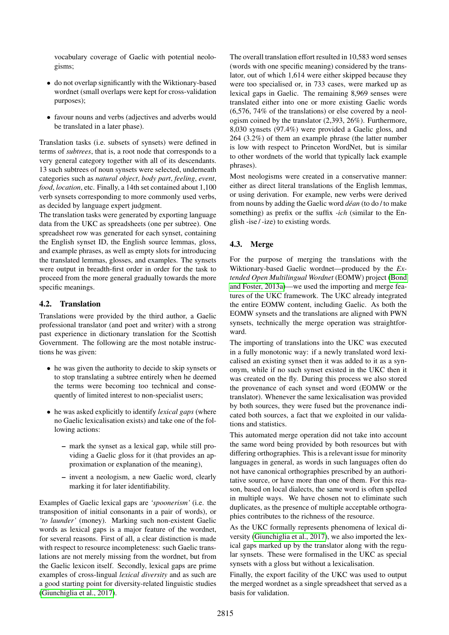vocabulary coverage of Gaelic with potential neologisms;

- do not overlap significantly with the Wiktionary-based wordnet (small overlaps were kept for cross-validation purposes);
- favour nouns and verbs (adjectives and adverbs would be translated in a later phase).

Translation tasks (i.e. subsets of synsets) were defined in terms of *subtrees*, that is, a root node that corresponds to a very general category together with all of its descendants. 13 such subtrees of noun synsets were selected, underneath categories such as *natural object*, *body part*, *feeling*, *event*, *food*, *location*, etc. Finally, a 14th set contained about 1,100 verb synsets corresponding to more commonly used verbs, as decided by language expert judgment.

The translation tasks were generated by exporting language data from the UKC as spreadsheets (one per subtree). One spreadsheet row was generated for each synset, containing the English synset ID, the English source lemmas, gloss, and example phrases, as well as empty slots for introducing the translated lemmas, glosses, and examples. The synsets were output in breadth-first order in order for the task to proceed from the more general gradually towards the more specific meanings.

#### 4.2. Translation

Translations were provided by the third author, a Gaelic professional translator (and poet and writer) with a strong past experience in dictionary translation for the Scottish Government. The following are the most notable instructions he was given:

- he was given the authority to decide to skip synsets or to stop translating a subtree entirely when he deemed the terms were becoming too technical and consequently of limited interest to non-specialist users;
- he was asked explicitly to identify *lexical gaps* (where no Gaelic lexicalisation exists) and take one of the following actions:
	- mark the synset as a lexical gap, while still providing a Gaelic gloss for it (that provides an approximation or explanation of the meaning),
	- invent a neologism, a new Gaelic word, clearly marking it for later identifiability.

Examples of Gaelic lexical gaps are *'spoonerism'* (i.e. the transposition of initial consonants in a pair of words), or *'to launder'* (money). Marking such non-existent Gaelic words as lexical gaps is a major feature of the wordnet, for several reasons. First of all, a clear distinction is made with respect to resource incompleteness: such Gaelic translations are not merely missing from the wordnet, but from the Gaelic lexicon itself. Secondly, lexical gaps are prime examples of cross-lingual *lexical diversity* and as such are a good starting point for diversity-related linguistic studies [\(Giunchiglia et al., 2017\)](#page-7-2).

The overall translation effort resulted in 10,583 word senses (words with one specific meaning) considered by the translator, out of which 1,614 were either skipped because they were too specialised or, in 733 cases, were marked up as lexical gaps in Gaelic. The remaining 8,969 senses were translated either into one or more existing Gaelic words (6,576, 74% of the translations) or else covered by a neologism coined by the translator (2,393, 26%). Furthermore, 8,030 synsets (97.4%) were provided a Gaelic gloss, and 264 (3.2%) of them an example phrase (the latter number is low with respect to Princeton WordNet, but is similar to other wordnets of the world that typically lack example phrases).

Most neologisms were created in a conservative manner: either as direct literal translations of the English lemmas, or using derivation. For example, new verbs were derived from nouns by adding the Gaelic word *dean ´* (to do / to make something) as prefix or the suffix *-ich* (similar to the English -ise / -ize) to existing words.

# 4.3. Merge

For the purpose of merging the translations with the Wiktionary-based Gaelic wordnet—produced by the *Extended Open Multilingual Wordnet* (EOMW) project [\(Bond](#page-6-1) [and Foster, 2013a\)](#page-6-1)—we used the importing and merge features of the UKC framework. The UKC already integrated the entire EOMW content, including Gaelic. As both the EOMW synsets and the translations are aligned with PWN synsets, technically the merge operation was straightforward.

The importing of translations into the UKC was executed in a fully monotonic way: if a newly translated word lexicalised an existing synset then it was added to it as a synonym, while if no such synset existed in the UKC then it was created on the fly. During this process we also stored the provenance of each synset and word (EOMW or the translator). Whenever the same lexicalisation was provided by both sources, they were fused but the provenance indicated both sources, a fact that we exploited in our validations and statistics.

This automated merge operation did not take into account the same word being provided by both resources but with differing orthographies. This is a relevant issue for minority languages in general, as words in such languages often do not have canonical orthographies prescribed by an authoritative source, or have more than one of them. For this reason, based on local dialects, the same word is often spelled in multiple ways. We have chosen not to eliminate such duplicates, as the presence of multiple acceptable orthographies contributes to the richness of the resource.

As the UKC formally represents phenomena of lexical diversity [\(Giunchiglia et al., 2017\)](#page-7-2), we also imported the lexical gaps marked up by the translator along with the regular synsets. These were formalised in the UKC as special synsets with a gloss but without a lexicalisation.

Finally, the export facility of the UKC was used to output the merged wordnet as a single spreadsheet that served as a basis for validation.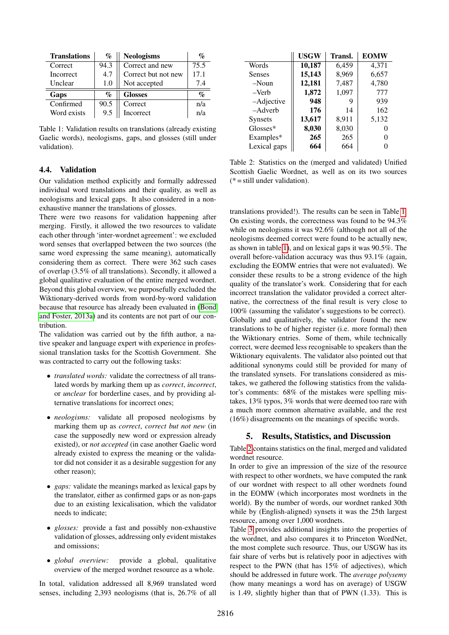| <b>Translations</b> | $\mathcal{G}_{\Omega}$ | <b>Neologisms</b>   | $\mathcal{G}_0$ |
|---------------------|------------------------|---------------------|-----------------|
| Correct             | 94.3                   | Correct and new     | 75.5            |
| Incorrect           | 4.7                    | Correct but not new | 17.1            |
| Unclear             | 1.0                    | Not accepted        | 7.4             |
| Gaps                | $\mathbf{q}_o$         | <b>Glosses</b>      | $\mathcal{G}_0$ |
| Confirmed           | 90.5                   | Correct             | n/a             |
| Word exists         | 9.5                    | Incorrect           | n/a             |

<span id="page-5-0"></span>Table 1: Validation results on translations (already existing Gaelic words), neologisms, gaps, and glosses (still under validation).

#### 4.4. Validation

Our validation method explicitly and formally addressed individual word translations and their quality, as well as neologisms and lexical gaps. It also considered in a nonexhaustive manner the translations of glosses.

There were two reasons for validation happening after merging. Firstly, it allowed the two resources to validate each other through 'inter-wordnet agreement': we excluded word senses that overlapped between the two sources (the same word expressing the same meaning), automatically considering them as correct. There were 362 such cases of overlap (3.5% of all translations). Secondly, it allowed a global qualitative evaluation of the entire merged wordnet. Beyond this global overview, we purposefully excluded the Wiktionary-derived words from word-by-word validation because that resource has already been evaluated in [\(Bond](#page-6-1) [and Foster, 2013a\)](#page-6-1) and its contents are not part of our contribution.

The validation was carried out by the fifth author, a native speaker and language expert with experience in professional translation tasks for the Scottish Government. She was contracted to carry out the following tasks:

- *translated words:* validate the correctness of all translated words by marking them up as *correct*, *incorrect*, or *unclear* for borderline cases, and by providing alternative translations for incorrect ones;
- *neologisms:* validate all proposed neologisms by marking them up as *correct*, *correct but not new* (in case the supposedly new word or expression already existed), or *not accepted* (in case another Gaelic word already existed to express the meaning or the validator did not consider it as a desirable suggestion for any other reason);
- *gaps:* validate the meanings marked as lexical gaps by the translator, either as confirmed gaps or as non-gaps due to an existing lexicalisation, which the validator needs to indicate;
- *glosses:* provide a fast and possibly non-exhaustive validation of glosses, addressing only evident mistakes and omissions;
- *global overview:* provide a global, qualitative overview of the merged wordnet resource as a whole.

In total, validation addressed all 8,969 translated word senses, including 2,393 neologisms (that is, 26.7% of all

|                | <b>USGW</b> | Transl. | <b>EOMW</b> |
|----------------|-------------|---------|-------------|
| Words          | 10,187      | 6,459   | 4,371       |
| <b>Senses</b>  | 15,143      | 8,969   | 6,657       |
| $-Noun$        | 12,181      | 7,487   | 4,780       |
| $-$ Verb       | 1,872       | 1,097   | 777         |
| -Adjective     | 948         | 9       | 939         |
| $-Adverb$      | 176         | 14      | 162         |
| <b>Synsets</b> | 13,617      | 8,911   | 5,132       |
| Glosses*       | 8,030       | 8,030   | 0           |
| Examples*      | 265         | 265     | 0           |
| Lexical gaps   | 664         | 664     |             |

<span id="page-5-1"></span>Table 2: Statistics on the (merged and validated) Unified Scottish Gaelic Wordnet, as well as on its two sources  $(* = still under validation).$ 

translations provided!). The results can be seen in Table [1.](#page-5-0) On existing words, the correctness was found to be 94.3% while on neologisms it was 92.6% (although not all of the neologisms deemed correct were found to be actually new, as shown in table [1\)](#page-5-0), and on lexical gaps it was 90.5%. The overall before-validation accuracy was thus 93.1% (again, excluding the EOMW entries that were not evaluated). We consider these results to be a strong evidence of the high quality of the translator's work. Considering that for each incorrect translation the validator provided a correct alternative, the correctness of the final result is very close to 100% (assuming the validator's suggestions to be correct). Globally and qualitatively, the validator found the new translations to be of higher register (i.e. more formal) then the Wiktionary entries. Some of them, while technically correct, were deemed less recognisable to speakers than the Wiktionary equivalents. The validator also pointed out that additional synonyms could still be provided for many of the translated synsets. For translations considered as mistakes, we gathered the following statistics from the validator's comments: 68% of the mistakes were spelling mistakes, 13% typos, 3% words that were deemed too rare with a much more common alternative available, and the rest (16%) disagreements on the meanings of specific words.

#### 5. Results, Statistics, and Discussion

Table [2](#page-5-1) contains statistics on the final, merged and validated wordnet resource.

In order to give an impression of the size of the resource with respect to other wordnets, we have computed the rank of our wordnet with respect to all other wordnets found in the EOMW (which incorporates most wordnets in the world). By the number of words, our wordnet ranked 30th while by (English-aligned) synsets it was the 25th largest resource, among over 1,000 wordnets.

Table [3](#page-6-9) provides additional insights into the properties of the wordnet, and also compares it to Princeton WordNet, the most complete such resource. Thus, our USGW has its fair share of verbs but is relatively poor in adjectives with respect to the PWN (that has 15% of adjectives), which should be addressed in future work. The *average polysemy* (how many meanings a word has on average) of USGW is 1.49, slightly higher than that of PWN (1.33). This is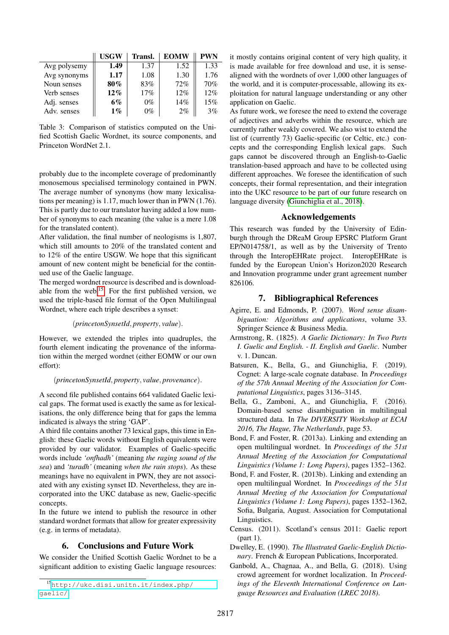|              | <b>USGW</b> | Transl. | <b>EOMW</b> | <b>PWN</b> |
|--------------|-------------|---------|-------------|------------|
| Avg polysemy | 1.49        | 1.37    | 1.52        | 1.33       |
| Avg synonyms | 1.17        | 1.08    | 1.30        | 1.76       |
| Noun senses  | 80%         | 83%     | 72%         | 70%        |
| Verb senses  | $12\%$      | 17%     | 12%         | 12%        |
| Adj. senses  | 6%          | $0\%$   | 14%         | 15%        |
| Adv. senses  | $1\%$       | $0\%$   | 2%          | 3%         |

<span id="page-6-9"></span>Table 3: Comparison of statistics computed on the Unified Scottish Gaelic Wordnet, its source components, and Princeton WordNet 2.1.

probably due to the incomplete coverage of predominantly monosemous specialised terminology contained in PWN. The average number of synonyms (how many lexicalisations per meaning) is 1.17, much lower than in PWN (1.76). This is partly due to our translator having added a low number of synonyms to each meaning (the value is a mere 1.08 for the translated content).

After validation, the final number of neologisms is 1,807, which still amounts to 20% of the translated content and to 12% of the entire USGW. We hope that this significant amount of new content might be beneficial for the continued use of the Gaelic language.

The merged wordnet resource is described and is download-able from the web.<sup>[15](#page-6-10)</sup> For the first published version, we used the triple-based file format of the Open Multilingual Wordnet, where each triple describes a synset:

#### (*princetonSynsetId*, *property*, *value*).

However, we extended the triples into quadruples, the fourth element indicating the provenance of the information within the merged wordnet (either EOMW or our own effort):

#### (*princetonSynsetId*, *property*, *value*, *provenance*).

A second file published contains 664 validated Gaelic lexical gaps. The format used is exactly the same as for lexicalisations, the only difference being that for gaps the lemma indicated is always the string 'GAP'.

A third file contains another 73 lexical gaps, this time in English: these Gaelic words without English equivalents were provided by our validator. Examples of Gaelic-specific words include *'onfhadh'* (meaning *the raging sound of the sea*) and *'turadh'* (meaning *when the rain stops*). As these meanings have no equivalent in PWN, they are not associated with any existing synset ID. Nevertheless, they are incorporated into the UKC database as new, Gaelic-specific concepts.

In the future we intend to publish the resource in other standard wordnet formats that allow for greater expressivity (e.g. in terms of metadata).

### 6. Conclusions and Future Work

We consider the Unified Scottish Gaelic Wordnet to be a significant addition to existing Gaelic language resources: it mostly contains original content of very high quality, it is made available for free download and use, it is sensealigned with the wordnets of over 1,000 other languages of the world, and it is computer-processable, allowing its exploitation for natural language understanding or any other application on Gaelic.

As future work, we foresee the need to extend the coverage of adjectives and adverbs within the resource, which are currently rather weakly covered. We also wist to extend the list of (currently 73) Gaelic-specific (or Celtic, etc.) concepts and the corresponding English lexical gaps. Such gaps cannot be discovered through an English-to-Gaelic translation-based approach and have to be collected using different approaches. We foresee the identification of such concepts, their formal representation, and their integration into the UKC resource to be part of our future research on language diversity [\(Giunchiglia et al., 2018\)](#page-7-8).

#### Acknowledgements

This research was funded by the University of Edinburgh through the DReaM Group EPSRC Platform Grant EP/N014758/1, as well as by the University of Trento through the InteropEHRate project. InteropEHRate is funded by the European Union's Horizon2020 Research and Innovation programme under grant agreement number 826106.

# 7. Bibliographical References

- <span id="page-6-5"></span>Agirre, E. and Edmonds, P. (2007). *Word sense disambiguation: Algorithms and applications*, volume 33. Springer Science & Business Media.
- <span id="page-6-2"></span>Armstrong, R. (1825). *A Gaelic Dictionary: In Two Parts I. Guelic and English. - II. English and Gaelic*. Number v. 1. Duncan.
- <span id="page-6-8"></span>Batsuren, K., Bella, G., and Giunchiglia, F. (2019). Cognet: A large-scale cognate database. In *Proceedings of the 57th Annual Meeting of the Association for Computational Linguistics*, pages 3136–3145.
- <span id="page-6-6"></span>Bella, G., Zamboni, A., and Giunchiglia, F. (2016). Domain-based sense disambiguation in multilingual structured data. In *The DIVERSITY Workshop at ECAI 2016, The Hague, The Netherlands*, page 53.
- <span id="page-6-1"></span>Bond, F. and Foster, R. (2013a). Linking and extending an open multilingual wordnet. In *Proceedings of the 51st Annual Meeting of the Association for Computational Linguistics (Volume 1: Long Papers)*, pages 1352–1362.
- <span id="page-6-4"></span>Bond, F. and Foster, R. (2013b). Linking and extending an open multilingual Wordnet. In *Proceedings of the 51st Annual Meeting of the Association for Computational Linguistics (Volume 1: Long Papers)*, pages 1352–1362, Sofia, Bulgaria, August. Association for Computational Linguistics.
- <span id="page-6-0"></span>Census. (2011). Scotland's census 2011: Gaelic report (part 1).
- <span id="page-6-3"></span>Dwelley, E. (1990). *The Illustrated Gaelic-English Dictionary*. French & European Publications, Incorporated.
- <span id="page-6-7"></span>Ganbold, A., Chagnaa, A., and Bella, G. (2018). Using crowd agreement for wordnet localization. In *Proceedings of the Eleventh International Conference on Language Resources and Evaluation (LREC 2018)*.

<span id="page-6-10"></span><sup>15</sup>[http://ukc.disi.unitn.it/index.php/](http://ukc.disi.unitn.it/index.php/gaelic/) [gaelic/](http://ukc.disi.unitn.it/index.php/gaelic/)